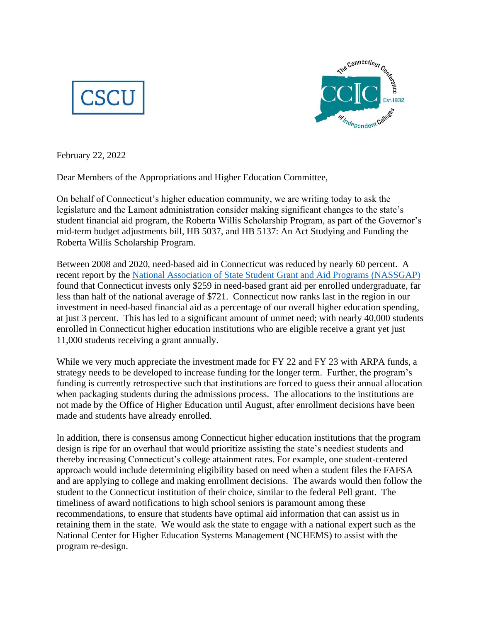



February 22, 2022

Dear Members of the Appropriations and Higher Education Committee,

On behalf of Connecticut's higher education community, we are writing today to ask the legislature and the Lamont administration consider making significant changes to the state's student financial aid program, the Roberta Willis Scholarship Program, as part of the Governor's mid-term budget adjustments bill, HB 5037, and HB 5137: An Act Studying and Funding the Roberta Willis Scholarship Program.

Between 2008 and 2020, need-based aid in Connecticut was reduced by nearly 60 percent. A recent report by the [National Association of State Student Grant and Aid Programs \(NASSGAP\)](https://www.nassgapsurvey.com/survey_reports/2019-2020-51st.pdf) found that Connecticut invests only \$259 in need-based grant aid per enrolled undergraduate, far less than half of the national average of \$721. Connecticut now ranks last in the region in our investment in need-based financial aid as a percentage of our overall higher education spending, at just 3 percent. This has led to a significant amount of unmet need; with nearly 40,000 students enrolled in Connecticut higher education institutions who are eligible receive a grant yet just 11,000 students receiving a grant annually.

While we very much appreciate the investment made for FY 22 and FY 23 with ARPA funds, a strategy needs to be developed to increase funding for the longer term. Further, the program's funding is currently retrospective such that institutions are forced to guess their annual allocation when packaging students during the admissions process. The allocations to the institutions are not made by the Office of Higher Education until August, after enrollment decisions have been made and students have already enrolled.

In addition, there is consensus among Connecticut higher education institutions that the program design is ripe for an overhaul that would prioritize assisting the state's neediest students and thereby increasing Connecticut's college attainment rates. For example, one student-centered approach would include determining eligibility based on need when a student files the FAFSA and are applying to college and making enrollment decisions. The awards would then follow the student to the Connecticut institution of their choice, similar to the federal Pell grant. The timeliness of award notifications to high school seniors is paramount among these recommendations, to ensure that students have optimal aid information that can assist us in retaining them in the state. We would ask the state to engage with a national expert such as the National Center for Higher Education Systems Management (NCHEMS) to assist with the program re-design.